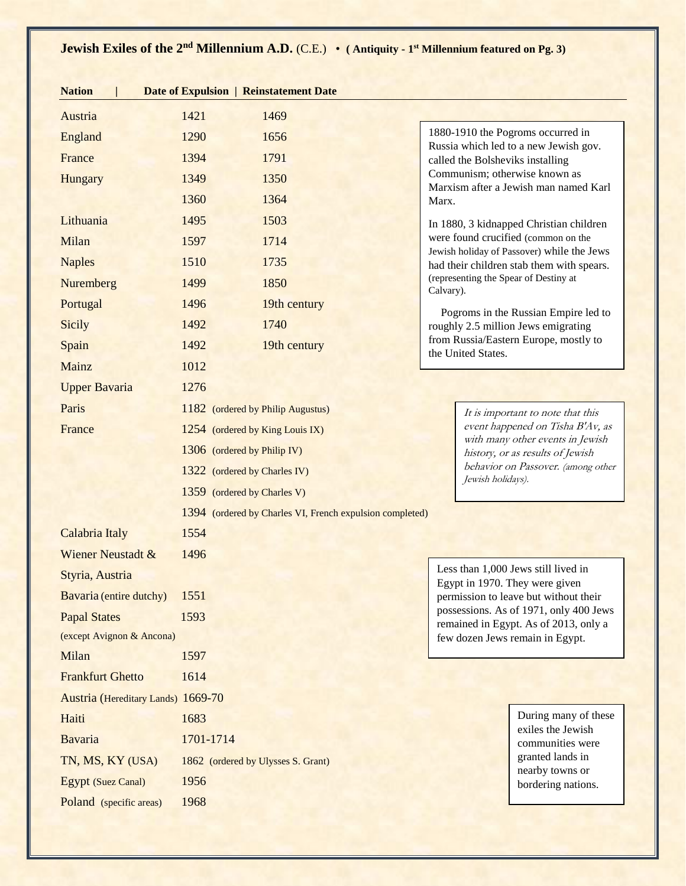# **Jewish Exiles of the 2nd Millennium A.D.** (C.E.) • **( Antiquity - 1 st Millennium featured on Pg. 3)**

| <b>Nation</b><br><b>Date of Expulsion   Reinstatement Date</b> |                                                                           |                                                          |                                       |                                                                                                                                                                                                                                                                                                                                                                               |  |
|----------------------------------------------------------------|---------------------------------------------------------------------------|----------------------------------------------------------|---------------------------------------|-------------------------------------------------------------------------------------------------------------------------------------------------------------------------------------------------------------------------------------------------------------------------------------------------------------------------------------------------------------------------------|--|
| Austria                                                        | 1421                                                                      | 1469                                                     |                                       |                                                                                                                                                                                                                                                                                                                                                                               |  |
| England                                                        | 1290                                                                      | 1656                                                     |                                       | 1880-1910 the Pogroms occurred in<br>Russia which led to a new Jewish gov.<br>called the Bolsheviks installing<br>Communism; otherwise known as<br>Marxism after a Jewish man named Karl<br>Marx.                                                                                                                                                                             |  |
| France                                                         | 1394                                                                      | 1791                                                     |                                       |                                                                                                                                                                                                                                                                                                                                                                               |  |
| Hungary                                                        | 1349                                                                      | 1350                                                     |                                       |                                                                                                                                                                                                                                                                                                                                                                               |  |
|                                                                | 1360                                                                      | 1364                                                     |                                       |                                                                                                                                                                                                                                                                                                                                                                               |  |
| Lithuania                                                      | 1495                                                                      | 1503                                                     |                                       | In 1880, 3 kidnapped Christian children<br>were found crucified (common on the<br>Jewish holiday of Passover) while the Jews<br>had their children stab them with spears.<br>(representing the Spear of Destiny at<br>Calvary).<br>Pogroms in the Russian Empire led to<br>roughly 2.5 million Jews emigrating<br>from Russia/Eastern Europe, mostly to<br>the United States. |  |
| Milan                                                          | 1597                                                                      | 1714                                                     |                                       |                                                                                                                                                                                                                                                                                                                                                                               |  |
| <b>Naples</b>                                                  | 1510                                                                      | 1735                                                     |                                       |                                                                                                                                                                                                                                                                                                                                                                               |  |
| Nuremberg                                                      | 1499                                                                      | 1850                                                     |                                       |                                                                                                                                                                                                                                                                                                                                                                               |  |
| Portugal                                                       | 1496                                                                      | 19th century                                             |                                       |                                                                                                                                                                                                                                                                                                                                                                               |  |
| <b>Sicily</b>                                                  | 1492                                                                      | 1740                                                     |                                       |                                                                                                                                                                                                                                                                                                                                                                               |  |
| Spain                                                          | 1492                                                                      | 19th century                                             |                                       |                                                                                                                                                                                                                                                                                                                                                                               |  |
| Mainz                                                          | 1012                                                                      |                                                          |                                       |                                                                                                                                                                                                                                                                                                                                                                               |  |
| <b>Upper Bavaria</b>                                           | 1276                                                                      |                                                          |                                       |                                                                                                                                                                                                                                                                                                                                                                               |  |
| Paris                                                          |                                                                           | 1182 (ordered by Philip Augustus)                        |                                       | It is important to note that this<br>event happened on Tisha B'Av, as                                                                                                                                                                                                                                                                                                         |  |
| France                                                         |                                                                           | 1254 (ordered by King Louis IX)                          |                                       |                                                                                                                                                                                                                                                                                                                                                                               |  |
|                                                                |                                                                           | 1306 (ordered by Philip IV)                              |                                       | with many other events in Jewish<br>history, or as results of Jewish                                                                                                                                                                                                                                                                                                          |  |
|                                                                |                                                                           | 1322 (ordered by Charles IV)                             |                                       | behavior on Passover. (among other<br>Jewish holidays).                                                                                                                                                                                                                                                                                                                       |  |
|                                                                |                                                                           | 1359 (ordered by Charles V)                              |                                       |                                                                                                                                                                                                                                                                                                                                                                               |  |
|                                                                |                                                                           | 1394 (ordered by Charles VI, French expulsion completed) |                                       |                                                                                                                                                                                                                                                                                                                                                                               |  |
| Calabria Italy                                                 | 1554                                                                      |                                                          |                                       |                                                                                                                                                                                                                                                                                                                                                                               |  |
| <b>Wiener Neustadt &amp;</b>                                   | 1496                                                                      |                                                          |                                       |                                                                                                                                                                                                                                                                                                                                                                               |  |
| Styria, Austria                                                | Less than 1,000 Jews still lived in<br>Egypt in 1970. They were given     |                                                          |                                       |                                                                                                                                                                                                                                                                                                                                                                               |  |
| Bavaria (entire dutchy)                                        | 1551                                                                      |                                                          | permission to leave but without their |                                                                                                                                                                                                                                                                                                                                                                               |  |
| <b>Papal States</b>                                            | 1593                                                                      |                                                          |                                       | possessions. As of 1971, only 400 Jews<br>remained in Egypt. As of 2013, only a                                                                                                                                                                                                                                                                                               |  |
| (except Avignon & Ancona)                                      |                                                                           |                                                          |                                       | few dozen Jews remain in Egypt.                                                                                                                                                                                                                                                                                                                                               |  |
| Milan                                                          | 1597                                                                      |                                                          |                                       |                                                                                                                                                                                                                                                                                                                                                                               |  |
| <b>Frankfurt Ghetto</b>                                        | 1614                                                                      |                                                          |                                       |                                                                                                                                                                                                                                                                                                                                                                               |  |
| Austria (Hereditary Lands) 1669-70                             |                                                                           |                                                          |                                       |                                                                                                                                                                                                                                                                                                                                                                               |  |
| Haiti                                                          | 1683                                                                      |                                                          |                                       | During many of these<br>exiles the Jewish                                                                                                                                                                                                                                                                                                                                     |  |
| Bavaria                                                        | 1701-1714                                                                 |                                                          |                                       | communities were                                                                                                                                                                                                                                                                                                                                                              |  |
| TN, MS, KY (USA)                                               | granted lands in<br>1862 (ordered by Ulysses S. Grant)<br>nearby towns or |                                                          |                                       |                                                                                                                                                                                                                                                                                                                                                                               |  |
| Egypt (Suez Canal)                                             | 1956                                                                      |                                                          |                                       | bordering nations.                                                                                                                                                                                                                                                                                                                                                            |  |
| Poland (specific areas)                                        | 1968                                                                      |                                                          |                                       |                                                                                                                                                                                                                                                                                                                                                                               |  |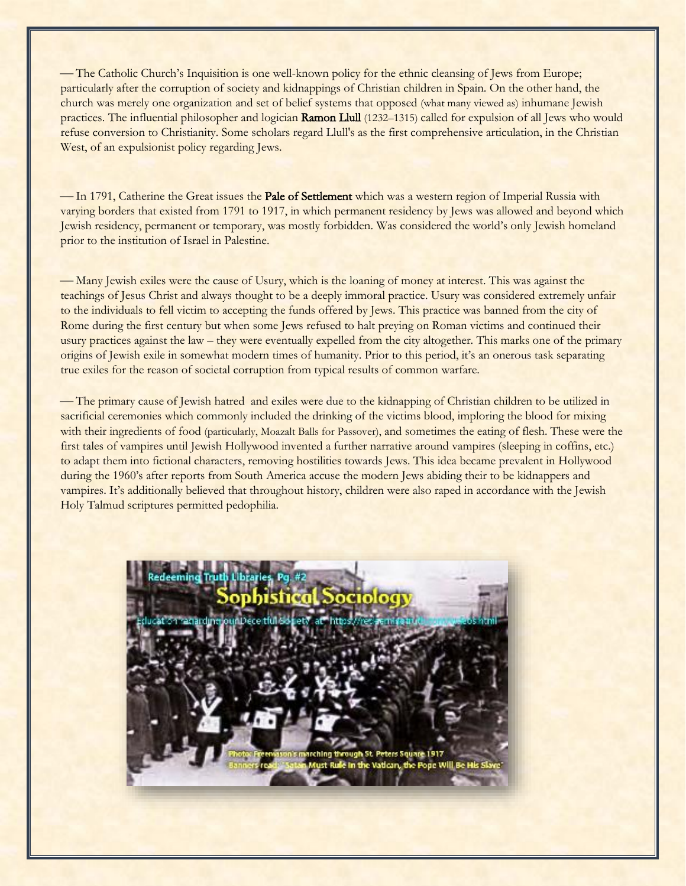- The Catholic Church's Inquisition is one well-known policy for the ethnic cleansing of Jews from Europe; particularly after the corruption of society and kidnappings of Christian children in Spain. On the other hand, the church was merely one organization and set of belief systems that opposed (what many viewed as) inhumane Jewish practices. The influential philosopher and logician Ramon Llull (1232–1315) called for expulsion of all Jews who would refuse conversion to Christianity. Some scholars regard Llull's as the first comprehensive articulation, in the Christian West, of an expulsionist policy regarding Jews.

- In 1791, Catherine the Great issues the Pale of Settlement which was a western region of Imperial Russia with varying borders that existed from 1791 to 1917, in which permanent residency by Jews was allowed and beyond which Jewish residency, permanent or temporary, was mostly forbidden. Was considered the world's only Jewish homeland prior to the institution of Israel in Palestine.

— Many Jewish exiles were the cause of Usury, which is the loaning of money at interest. This was against the teachings of Jesus Christ and always thought to be a deeply immoral practice. Usury was considered extremely unfair to the individuals to fell victim to accepting the funds offered by Jews. This practice was banned from the city of Rome during the first century but when some Jews refused to halt preying on Roman victims and continued their usury practices against the law – they were eventually expelled from the city altogether. This marks one of the primary origins of Jewish exile in somewhat modern times of humanity. Prior to this period, it's an onerous task separating true exiles for the reason of societal corruption from typical results of common warfare.

— The primary cause of Jewish hatred and exiles were due to the kidnapping of Christian children to be utilized in sacrificial ceremonies which commonly included the drinking of the victims blood, imploring the blood for mixing with their ingredients of food (particularly, Moazalt Balls for Passover), and sometimes the eating of flesh. These were the first tales of vampires until Jewish Hollywood invented a further narrative around vampires (sleeping in coffins, etc.) to adapt them into fictional characters, removing hostilities towards Jews. This idea became prevalent in Hollywood during the 1960's after reports from South America accuse the modern Jews abiding their to be kidnappers and vampires. It's additionally believed that throughout history, children were also raped in accordance with the Jewish Holy Talmud scriptures permitted pedophilia.

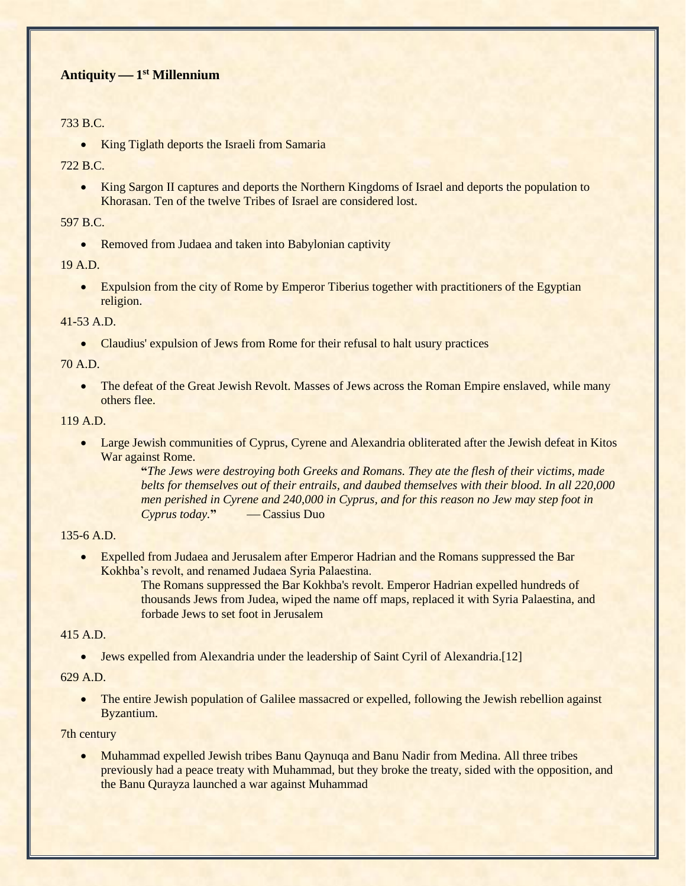# **Antiquity** ⎯ **1 st Millennium**

### 733 B.C.

• King Tiglath deports the Israeli from Samaria

722 B.C.

• King Sargon II captures and deports the Northern Kingdoms of Israel and deports the population to Khorasan. Ten of the twelve Tribes of Israel are considered lost.

597 B.C.

• Removed from Judaea and taken into Babylonian captivity

19 A.D.

• Expulsion from the city of Rome by Emperor Tiberius together with practitioners of the Egyptian religion.

41-53 A.D.

• Claudius' expulsion of Jews from Rome for their refusal to halt usury practices

70 A.D.

• The defeat of the Great Jewish Revolt. Masses of Jews across the Roman Empire enslaved, while many others flee.

119 A.D.

• Large Jewish communities of Cyprus, Cyrene and Alexandria obliterated after the Jewish defeat in Kitos War against Rome.

**"***The Jews were destroying both Greeks and Romans. They ate the flesh of their victims, made belts for themselves out of their entrails, and daubed themselves with their blood. In all 220,000 men perished in Cyrene and 240,000 in Cyprus, and for this reason no Jew may step foot in Cyprus today.*<sup>**"** — Cassius Duo</sup>

## $135-6$  A.D.

• Expelled from Judaea and Jerusalem after Emperor Hadrian and the Romans suppressed the Bar Kokhba's revolt, and renamed Judaea Syria Palaestina.

The Romans suppressed the Bar Kokhba's revolt. Emperor Hadrian expelled hundreds of thousands Jews from Judea, wiped the name off maps, replaced it with Syria Palaestina, and forbade Jews to set foot in Jerusalem

415 A.D.

• Jews expelled from Alexandria under the leadership of Saint Cyril of Alexandria. [12]

629 A.D.

• The entire Jewish population of Galilee massacred or expelled, following the Jewish rebellion against Byzantium.

7th century

• Muhammad expelled Jewish tribes Banu Qaynuqa and Banu Nadir from Medina. All three tribes previously had a peace treaty with Muhammad, but they broke the treaty, sided with the opposition, and the Banu Qurayza launched a war against Muhammad